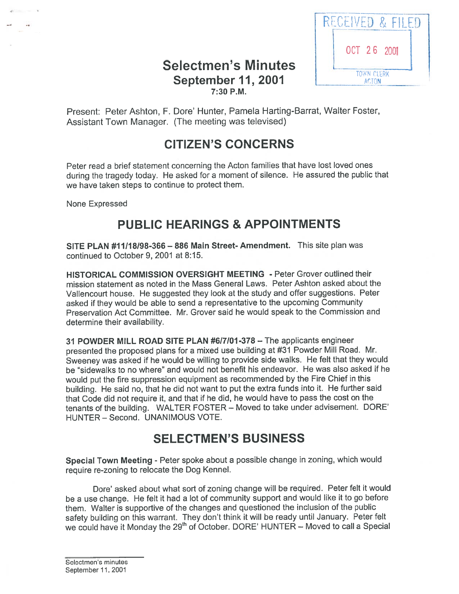## Selectmen's Minutes **September 11, 2001** CONVERTED MARTIN 7:30 P.M.



Present: Peter Ashton, F. Dore' Hunter, Pamela Harting-Barrat, Walter Foster, Assistant Town Manager. (The meeting was televised)

# CITIZEN'S CONCERNS

Peter read <sup>a</sup> brief statement concerning the Acton families that have lost loved ones during the tragedy today. He asked for <sup>a</sup> moment of silence. He assured the public that we have taken steps to continue to protect them.

None Expressed

## PUBLIC HEARINGS & APPOINTMENTS

SITE PLAN #11118198-366—886 Main Street-Amendment. This site plan was continued to October 9, 2001 at 8:15.

HISTORICAL COMMISSION OVERSIGHT MEETING - Peter Grover outlined their mission statement as noted in the Mass General Laws. Peter Ashton asked about the Vallencourt house. He suggested they look at the study and offer suggestions. Peter asked if they would be able to send <sup>a</sup> representative to the upcoming Community Preservation Act Committee. Mr. Grover said he would speak to the Commission and determine their availability.

31 POWDER MILL ROAD SITE PLAN #6/7/01-378 — The applicants engineer presented the propose<sup>d</sup> <sup>p</sup>lans for <sup>a</sup> mixed use building at #31 Powder Mill Road. Mr. Sweeney was asked if he would be willing to provide side walks. He felt that they would be "sidewalks to no where" and would not benefit his endeavor. He was also asked if he would pu<sup>t</sup> the fire suppression equipment as recommended by the Fire Chief in this building. He said no, that he did not want to pu<sup>t</sup> the extra funds into it. He further said that Code did not require it, and that if he did, he would have to pass the cost on the tenants of the building. WALTER FOSTER — Moved to take under advisement. DORE' HUNTER — Second. UNANIMOUS VOTE.

# SELECTMEN'S BUSINESS

Special Town Meeting - Peter spoke about <sup>a</sup> possible change in zoning, which would require re-zoning to relocate the Dog Kennel.

Dore' asked about what sort of zoning change will be required. Peter felt it would be <sup>a</sup> use change. He felt it had <sup>a</sup> lot of community suppor<sup>t</sup> and would like it to go before them. Walter is supportive of the changes and questioned the inclusion of the public safety building on this warrant. They don't think it will be ready until January. Peter felt we could have it Monday the 29<sup>th</sup> of October. DORE' HUNTER - Moved to call a Special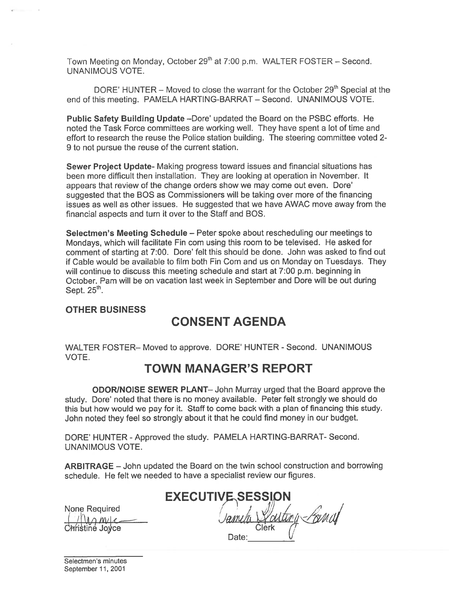Town Meeting on Monday, October 29<sup>th</sup> at 7:00 p.m. WALTER FOSTER - Second. UNANIMOUS VOTE.

DORE' HUNTER – Moved to close the warrant for the October  $29<sup>th</sup>$  Special at the end of this meeting. PAMELA HARTING-BARRAT — Second. UNANIMOUS VOTE.

Public Safety Building Update —Dore' updated the Board on the PSBC efforts. He noted the Task Force committees are working well. They have spen<sup>t</sup> <sup>a</sup> lot of time and effort to research the reuse the Police station building. The steering committee voted 2- 9 to not pursue the reuse of the current station.

Sewer Project Update- Making progress toward issues and financial situations has been more difficult then installation. They are looking at operation in November. It appears that review of the change orders show we may come out even. Dore' suggested that the BOS as Commissioners will be taking over more of the financing issues as well as other issues. He suggested that we have AWAC move away from the financial aspects and turn it over to the Staff and BOS.

Selectmen's Meeting Schedule — Peter spoke about rescheduling our meetings to Mondays, which will facilitate Fin com using this room to be televised. He asked for comment of starting at 7:00. Dore' felt this should be done. John was asked to find out if Cable would be available to film both Fin Com and us on Monday on Tuesdays. They will continue to discuss this meeting schedule and start at 7:00 p.m. beginning in October. Pam will be on vacation last week in September and Dore will be out during Sept.  $25<sup>th</sup>$ .

#### OTHER BUSINESS

## CONSENT AGENDA

WALTER FOSTER— Moved to approve. DORE' HUNTER - Second. UNANIMOUS VOTE.

## TOWN MANAGER'S REPORT

ODORINOISE SEWER PLANT— John Murray urged that the Board approve the study. Dore' noted that there is no money available. Peter felt strongly we should do this but how would we pay for it. Staff to come back with <sup>a</sup> plan of financing this study. John noted they feel so strongly about it that he could find money in our budget.

DORE' HUNTER -Approved the study. PAMELA HARTING-BARRAT- Second. UNANIMOUS VOTE.

ARBITRAGE — John updated the Board on the twin school construction and borrowing schedule. He felt we needed to have <sup>a</sup> specialist review our figures.

| None Required<br>( / ( ) <i>M/ M/ / Christine Joyce</i> |  |
|---------------------------------------------------------|--|
|                                                         |  |
|                                                         |  |

EXECUTIVE SESSION arting *Parial*  $\frac{c}{c}$  Christine Joyce Christine  $\sqrt{2}$ Date: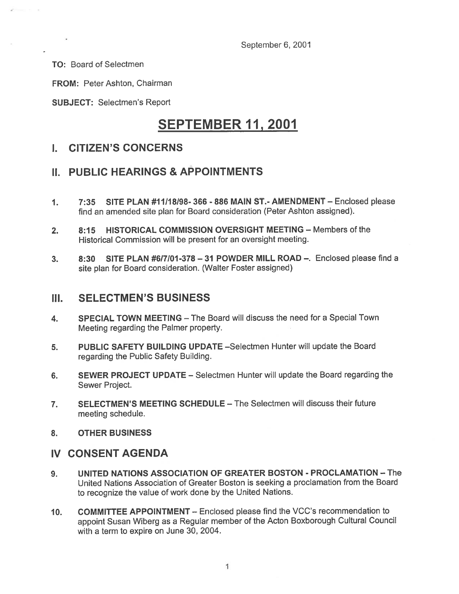September 6, 2001

TO: Board of Selectmen

FROM: Peter Ashton, Chairman

SUBJECT: Selectmen's Report

# SEPTEMBER 11, 2001

#### I. CITIZEN'S CONCERNS

#### II. PUBLIC HEARINGS & APPOINTMENTS

- 1. 7:35 SITE PLAN #11118198- 366 -886 MAIN ST.- AMENDMENT Enclosed please find an amended site plan for Board consideration (Peter Ashton assigned).
- 2. 8:15 HISTORICAL COMMISSION OVERSIGHT MEETING Members of the Historical Commission will be presen<sup>t</sup> for an oversight meeting.
- 3. 8:30 SITE PLAN #6/7101 -378 31 POWDER MILL ROAD —. Enclosed please find <sup>a</sup> site <sup>p</sup>lan for Board consideration. (Walter Foster assigned)

#### III. SELECTMEN'S BUSINESS

- 4. SPECIAL TOWN MEETING The Board will discuss the need for <sup>a</sup> Special Town Meeting regarding the Palmer property.
- 5. PUBLIC SAFETY BUILDING UPDATE —Selectmen Hunter will update the Board regarding the Public Safety Building.
- 6. SEWER PROJECT UPDATE Selectmen Hunter will update the Board regarding the Sewer Project.
- 7. SELECTMEN'S MEETING SCHEDULE The Selectmen will discuss their future meeting schedule.
- 8. OTHER BUSINESS

## IV CONSENT AGENDA

- 9. UNITED NATIONS ASSOCIATION OF GREATER BOSTON PROCLAMATION The United Nations Association of Greater Boston is seeking <sup>a</sup> proclamation from the Board to recognize the value of work done by the United Nations.
- 10. COMMITTEE APPOINTMENT Enclosed please find the VCC's recommendation to appoint Susan Wiberg as <sup>a</sup> Regular member of the Acton Boxborough Cultural Council with <sup>a</sup> term to expire on June 30, 2004.